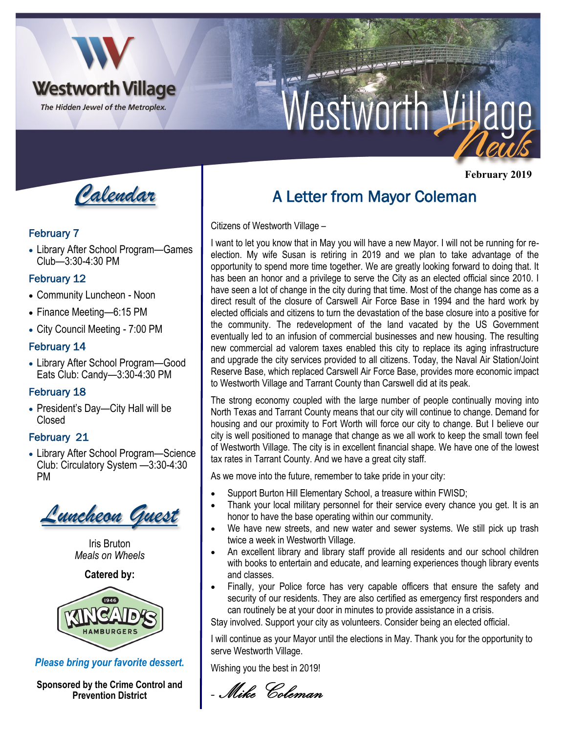

# *Vestworth Village*

*Calendar*

### February 7

• Library After School Program—Games Club—3:30-4:30 PM

# February 12

- Community Luncheon Noon
- Finance Meeting—6:15 PM
- City Council Meeting 7:00 PM

# February 14

• Library After School Program—Good Eats Club: Candy—3:30-4:30 PM

# February 18

• President's Day—City Hall will be Closed

# February 21

• Library After School Program—Science Club: Circulatory System —3:30-4:30 PM



Iris Bruton *Meals on Wheels*

**Catered by:** 



*Please bring your favorite dessert.* 

**Sponsored by the Crime Control and Prevention District**

# A Letter from Mayor Coleman

Citizens of Westworth Village –

I want to let you know that in May you will have a new Mayor. I will not be running for reelection. My wife Susan is retiring in 2019 and we plan to take advantage of the opportunity to spend more time together. We are greatly looking forward to doing that. It has been an honor and a privilege to serve the City as an elected official since 2010. I have seen a lot of change in the city during that time. Most of the change has come as a direct result of the closure of Carswell Air Force Base in 1994 and the hard work by elected officials and citizens to turn the devastation of the base closure into a positive for the community. The redevelopment of the land vacated by the US Government eventually led to an infusion of commercial businesses and new housing. The resulting new commercial ad valorem taxes enabled this city to replace its aging infrastructure and upgrade the city services provided to all citizens. Today, the Naval Air Station/Joint Reserve Base, which replaced Carswell Air Force Base, provides more economic impact to Westworth Village and Tarrant County than Carswell did at its peak.

The strong economy coupled with the large number of people continually moving into North Texas and Tarrant County means that our city will continue to change. Demand for housing and our proximity to Fort Worth will force our city to change. But I believe our city is well positioned to manage that change as we all work to keep the small town feel of Westworth Village. The city is in excellent financial shape. We have one of the lowest tax rates in Tarrant County. And we have a great city staff.

As we move into the future, remember to take pride in your city:

- Support Burton Hill Elementary School, a treasure within FWISD;
- Thank your local military personnel for their service every chance you get. It is an honor to have the base operating within our community.
- We have new streets, and new water and sewer systems. We still pick up trash twice a week in Westworth Village.
- An excellent library and library staff provide all residents and our school children with books to entertain and educate, and learning experiences though library events and classes.
- Finally, your Police force has very capable officers that ensure the safety and security of our residents. They are also certified as emergency first responders and can routinely be at your door in minutes to provide assistance in a crisis.

Stay involved. Support your city as volunteers. Consider being an elected official.

I will continue as your Mayor until the elections in May. Thank you for the opportunity to serve Westworth Village.

Wishing you the best in 2019!

- Mike Coleman

 **February 2019**